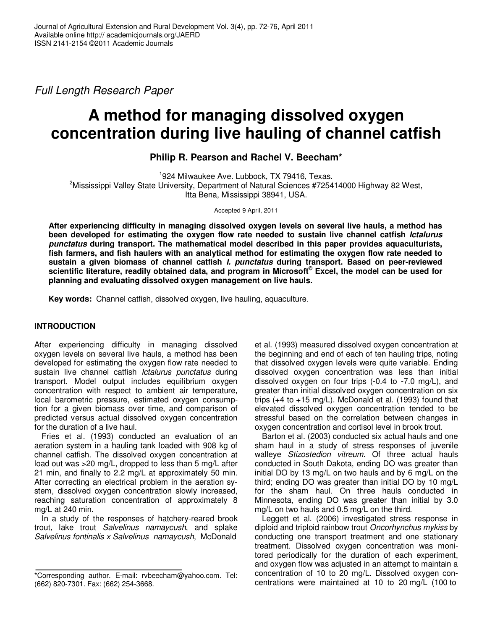Full Length Research Paper

# **A method for managing dissolved oxygen concentration during live hauling of channel catfish**

**Philip R. Pearson and Rachel V. Beecham\*** 

1 924 Milwaukee Ave. Lubbock, TX 79416, Texas.

<sup>2</sup>Mississippi Valley State University, Department of Natural Sciences #725414000 Highway 82 West, Itta Bena, Mississippi 38941, USA.

Accepted 9 April, 2011

**After experiencing difficulty in managing dissolved oxygen levels on several live hauls, a method has been developed for estimating the oxygen flow rate needed to sustain live channel catfish Ictalurus punctatus during transport. The mathematical model described in this paper provides aquaculturists, fish farmers, and fish haulers with an analytical method for estimating the oxygen flow rate needed to sustain a given biomass of channel catfish I. punctatus during transport. Based on peer-reviewed scientific literature, readily obtained data, and program in Microsoft© Excel, the model can be used for planning and evaluating dissolved oxygen management on live hauls.** 

**Key words:** Channel catfish, dissolved oxygen, live hauling, aquaculture.

# **INTRODUCTION**

After experiencing difficulty in managing dissolved oxygen levels on several live hauls, a method has been developed for estimating the oxygen flow rate needed to sustain live channel catfish *Ictalurus punctatus* during transport. Model output includes equilibrium oxygen concentration with respect to ambient air temperature, local barometric pressure, estimated oxygen consumption for a given biomass over time, and comparison of predicted versus actual dissolved oxygen concentration for the duration of a live haul.

Fries et al. (1993) conducted an evaluation of an aeration system in a hauling tank loaded with 908 kg of channel catfish. The dissolved oxygen concentration at load out was >20 mg/L, dropped to less than 5 mg/L after 21 min, and finally to 2.2 mg/L at approximately 50 min. After correcting an electrical problem in the aeration system, dissolved oxygen concentration slowly increased. reaching saturation concentration of approximately 8 mg/L at 240 min.

In a study of the responses of hatchery-reared brook trout, lake trout Salvelinus namaycush, and splake Salvelinus fontinalis x Salvelinus namaycush, McDonald

et al. (1993) measured dissolved oxygen concentration at the beginning and end of each of ten hauling trips, noting that dissolved oxygen levels were quite variable. Ending dissolved oxygen concentration was less than initial dissolved oxygen on four trips (-0.4 to -7.0 mg/L), and greater than initial dissolved oxygen concentration on six trips  $(+4 \text{ to } +15 \text{ mg/L})$ . McDonald et al. (1993) found that elevated dissolved oxygen concentration tended to be stressful based on the correlation between changes in oxygen concentration and cortisol level in brook trout.

Barton et al. (2003) conducted six actual hauls and one sham haul in a study of stress responses of juvenile walleye Stizostedion vitreum. Of three actual hauls conducted in South Dakota, ending DO was greater than initial DO by 13 mg/L on two hauls and by 6 mg/L on the third; ending DO was greater than initial DO by 10 mg/L for the sham haul. On three hauls conducted in Minnesota, ending DO was greater than initial by 3.0 mg/L on two hauls and 0.5 mg/L on the third.

Leggett et al. (2006) investigated stress response in diploid and triploid rainbow trout Oncorhynchus mykiss by conducting one transport treatment and one stationary treatment. Dissolved oxygen concentration was monitored periodically for the duration of each experiment, and oxygen flow was adjusted in an attempt to maintain a concentration of 10 to 20 mg/L. Dissolved oxygen concentrations were maintained at 10 to 20 mg/L (100 to

<sup>\*</sup>Corresponding author. E-mail: rvbeecham@yahoo.com. Tel: (662) 820-7301. Fax: (662) 254-3668.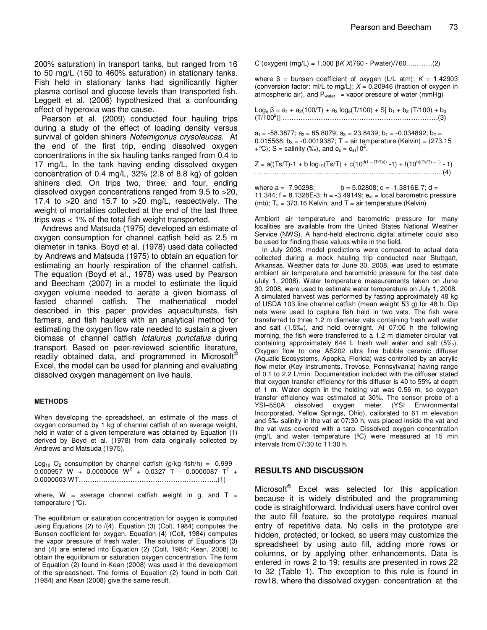200% saturation) in transport tanks, but ranged from 16 to 50 mg/L (150 to 460% saturation) in stationary tanks. Fish held in stationary tanks had significantly higher plasma cortisol and glucose levels than transported fish. Leggett et al. (2006) hypothesized that a confounding effect of hyperoxia was the cause.

Pearson et al. (2009) conducted four hauling trips during a study of the effect of loading density versus survival of golden shiners Notemigonus crysoleucas. At the end of the first trip, ending dissolved oxygen concentrations in the six hauling tanks ranged from 0.4 to 17 mg/L. In the tank having ending dissolved oxygen concentration of 0.4 mg/L, 32% (2.8 of 8.8 kg) of golden shiners died. On trips two, three, and four, ending dissolved oxygen concentrations ranged from 9.5 to >20, 17.4 to  $>20$  and 15.7 to  $>20$  mg/L, respectively. The weight of mortalities collected at the end of the last three trips was < 1% of the total fish weight transported.

Andrews and Matsuda (1975) developed an estimate of oxygen consumption for channel catfish held as 2.5 m diameter in tanks. Boyd et al. (1978) used data collected by Andrews and Matsuda (1975) to obtain an equation for estimating an hourly respiration of the channel catfish. The equation (Boyd et al., 1978) was used by Pearson and Beecham (2007) in a model to estimate the liquid oxygen volume needed to aerate a given biomass of fasted channel catfish. The mathematical model described in this paper provides aquaculturists, fish farmers, and fish haulers with an analytical method for estimating the oxygen flow rate needed to sustain a given biomass of channel catfish *Ictalurus punctatus* during transport. Based on peer-reviewed scientific literature, readily obtained data, and programmed in Microsoft<sup>®</sup> Excel, the model can be used for planning and evaluating dissolved oxygen management on live hauls.

#### **METHODS**

When developing the spreadsheet, an estimate of the mass of oxygen consumed by 1 kg of channel catfish of an average weight, held in water of a given temperature was obtained by Equation (1) derived by Boyd et al. (1978) from data originally collected by Andrews and Matsuda (1975).

Log<sub>10</sub> O<sub>2</sub> consumption by channel catfish (g/kg fish/h) =  $-0.999 0.000957$  W + 0.0000006 W<sup>2</sup> + 0.0327 T - 0.0000087 T<sup>2</sup> + 0.0000003 WT……………………………………………………..(1)

where, W = average channel catfish weight in g, and  $T =$ temperature (°C).

The equilibrium or saturation concentration for oxygen is computed using Equations (2) to /(4). Equation (3) (Colt, 1984) computes the Bunsen coefficient for oxygen. Equation (4) (Colt, 1984) computes the vapor pressure of fresh water. The solutions of Equations (3) and (4) are entered into Equation (2) (Colt, 1984; Kean, 2008) to obtain the equilibrium or saturation oxygen concentration. The form of Equation (2) found in Kean (2008) was used in the development of the spreadsheet. The forms of Equation (2) found in both Colt (1984) and Kean (2008) give the same result.

C (oxygen) (mg/L) = 1,000  $\beta$ K X(760 - Pwater)/760............(2)

where  $\beta$  = bunsen coefficient of oxygen (L/L atm);  $K = 1.42903$ (conversion factor: ml/L to mg/L);  $X = 0.20946$  (fraction of oxygen in atmospheric air), and  $P_{water}$  = vapor pressure of water (mmHg)

Log<sub>e</sub> β = a<sub>1</sub> + a<sub>2</sub>(100/T) + a<sub>3</sub> log<sub>e</sub>(T/100) + S[ b<sub>1</sub> + b<sub>2</sub> (T/100) + b<sub>3</sub> (T/100<sup>2</sup> )] ……………………………………………………………(3)  $a_1 = -58.3877$ ;  $a_2 = 85.8079$ ;  $a_3 = 23.8439$ ;  $b_1 = -0.034892$ ;  $b_2 =$ 0.015568;  $b_3 = -0.0019387$ ; T = air temperature (Kelvin) = (273.15  $+$  °C); S = salinity (%o), and  $e_s = e_{st}10^2$ .  $Z = a((Ts/T)-1 + b \log_{10}(Ts/T) + c(10^{d(1 - (T/Ts))} - 1) + f(10^{h((Ts/T)-1)} - 1)$ 

where  $a = -7.90298$ ; b = 5.02808; c = -1.3816E-7; d = 11.344;  $f = 8.1328E-3$ ; h =  $-3.49149$ ;  $e_{st}$  = local barometric pressure (mb);  $T_s = 373.16$  Kelvin, and T = air temperature (Kelvin)

… ……………………………………………………………………. (4)

Ambient air temperature and barometric pressure for many localities are available from the United States National Weather Service (NWS). A hand-held electronic digital altimeter could also be used for finding these values while in the field.

In July 2008, model predictions were compared to actual data collected during a mock hauling trip conducted near Stuttgart, Arkansas. Weather data for June 30, 2008, was used to estimate ambient air temperature and barometric pressure for the test date (July 1, 2008). Water temperature measurements taken on June 30, 2008, were used to estimate water temperature on July 1, 2008. A simulated harvest was performed by fasting approximately 48 kg of USDA 103 line channel catfish (mean weight 53 g) for 48 h. Dip nets were used to capture fish held in two vats. The fish were transferred to three 1.2 m diameter vats containing fresh well water and salt (1.5‰), and held overnight. At 07:00 h the following morning, the fish were transferred to a 1.2 m diameter circular vat containing approximately 644 L fresh well water and salt (5‰). Oxygen flow to one AS202 ultra fine bubble ceramic diffuser (Aquatic Ecosystems, Apopka, Florida) was controlled by an acrylic flow meter (Key Instruments, Trevose, Pennsylvania) having range of 0.1 to 2.2 L/min. Documentation included with the diffuser stated that oxygen transfer efficiency for this diffuser is 40 to 55% at depth of 1 m. Water depth in the holding vat was 0.56 m, so oxygen transfer efficiency was estimated at 30%. The sensor probe of a YSI–550A dissolved oxygen meter (YSI Environmental Incorporated, Yellow Springs, Ohio), calibrated to 61 m elevation and 5‰ salinity in the vat at 07:30 h, was placed inside the vat and the vat was covered with a tarp. Dissolved oxygen concentration (mg/L and water temperature (ºC) were measured at 15 min intervals from 07:30 to 11:30 h.

#### **RESULTS AND DISCUSSION**

Microsoft<sup>©</sup> Excel was selected for this application because it is widely distributed and the programming code is straightforward. Individual users have control over the auto fill feature, so the prototype requires manual entry of repetitive data. No cells in the prototype are hidden, protected, or locked, so users may customize the spreadsheet by using auto fill, adding more rows or columns, or by applying other enhancements. Data is entered in rows 2 to 19; results are presented in rows 22 to 32 (Table 1). The exception to this rule is found in row18, where the dissolved oxygen concentration at the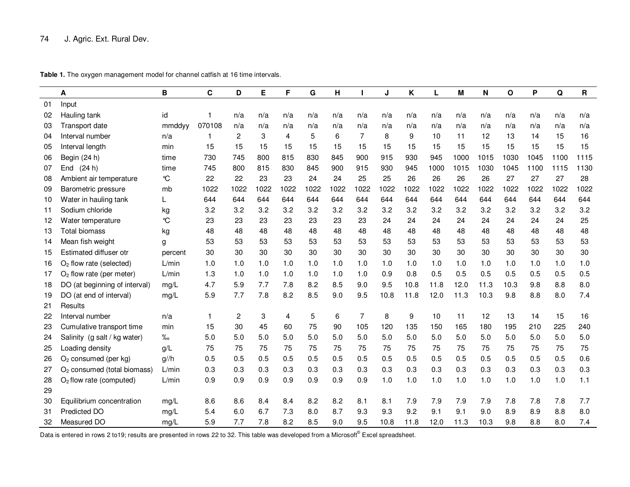|    | Α                                       | в             | C      | D              | E    | F    | G    | H       |                | J    | Κ                | L    | М    | Ν    | O    | P    | Q    | $\mathbf R$ |
|----|-----------------------------------------|---------------|--------|----------------|------|------|------|---------|----------------|------|------------------|------|------|------|------|------|------|-------------|
| 01 | Input                                   |               |        |                |      |      |      |         |                |      |                  |      |      |      |      |      |      |             |
| 02 | Hauling tank                            | id            |        | n/a            | n/a  | n/a  | n/a  | n/a     | n/a            | n/a  | n/a              | n/a  | n/a  | n/a  | n/a  | n/a  | n/a  | n/a         |
| 03 | Transport date                          | mmddyy        | 070108 | n/a            | n/a  | n/a  | n/a  | n/a     | n/a            | n/a  | n/a              | n/a  | n/a  | n/a  | n/a  | n/a  | n/a  | n/a         |
| 04 | Interval number                         | n/a           | 1      | $\overline{2}$ | 3    | 4    | 5    | 6       | 7              | 8    | 9                | 10   | 11   | 12   | 13   | 14   | 15   | 16          |
| 05 | Interval length                         | min           | 15     | 15             | 15   | 15   | 15   | 15      | 15             | 15   | 15               | 15   | 15   | 15   | 15   | 15   | 15   | 15          |
| 06 | Begin (24 h)                            | time          | 730    | 745            | 800  | 815  | 830  | 845     | 900            | 915  | 930              | 945  | 1000 | 1015 | 1030 | 1045 | 1100 | 1115        |
| 07 | End (24 h)                              | time          | 745    | 800            | 815  | 830  | 845  | 900     | 915            | 930  | 945              | 1000 | 1015 | 1030 | 1045 | 1100 | 1115 | 1130        |
| 08 | Ambient air temperature                 | $\mathcal{C}$ | 22     | 22             | 23   | 23   | 24   | 24      | 25             | 25   | 26               | 26   | 26   | 26   | 27   | 27   | 27   | 28          |
| 09 | Barometric pressure                     | mb            | 1022   | 1022           | 1022 | 1022 | 1022 | 1022    | 1022           | 1022 | 1022             | 1022 | 1022 | 1022 | 1022 | 1022 | 1022 | 1022        |
| 10 | Water in hauling tank                   | L             | 644    | 644            | 644  | 644  | 644  | 644     | 644            | 644  | 644              | 644  | 644  | 644  | 644  | 644  | 644  | 644         |
| 11 | Sodium chloride                         | kg            | 3.2    | 3.2            | 3.2  | 3.2  | 3.2  | 3.2     | 3.2            | 3.2  | 3.2              | 3.2  | 3.2  | 3.2  | 3.2  | 3.2  | 3.2  | 3.2         |
| 12 | Water temperature                       | $\mathcal{C}$ | 23     | 23             | 23   | 23   | 23   | 23      | 23             | 24   | 24               | 24   | 24   | 24   | 24   | 24   | 24   | 25          |
| 13 | <b>Total biomass</b>                    | kg            | 48     | 48             | 48   | 48   | 48   | 48      | 48             | 48   | 48               | 48   | 48   | 48   | 48   | 48   | 48   | 48          |
| 14 | Mean fish weight                        | g             | 53     | 53             | 53   | 53   | 53   | 53      | 53             | 53   | 53               | 53   | 53   | 53   | 53   | 53   | 53   | 53          |
| 15 | Estimated diffuser otr                  | percent       | 30     | 30             | 30   | 30   | 30   | 30      | 30             | 30   | 30               | 30   | 30   | 30   | 30   | 30   | 30   | 30          |
| 16 | $O2$ flow rate (selected)               | L/min         | 1.0    | 1.0            | 1.0  | 1.0  | 1.0  | 1.0     | 1.0            | 1.0  | 1.0              | 1.0  | 1.0  | 1.0  | 1.0  | 1.0  | 1.0  | 1.0         |
| 17 | $O2$ flow rate (per meter)              | L/min         | 1.3    | 1.0            | 1.0  | 1.0  | 1.0  | 1.0     | 1.0            | 0.9  | 0.8              | 0.5  | 0.5  | 0.5  | 0.5  | 0.5  | 0.5  | 0.5         |
| 18 | DO (at beginning of interval)           | mg/L          | 4.7    | 5.9            | 7.7  | 7.8  | 8.2  | 8.5     | 9.0            | 9.5  | 10.8             | 11.8 | 12.0 | 11.3 | 10.3 | 9.8  | 8.8  | 8.0         |
| 19 | DO (at end of interval)                 | mg/L          | 5.9    | 7.7            | 7.8  | 8.2  | 8.5  | 9.0     | 9.5            | 10.8 | 11.8             | 12.0 | 11.3 | 10.3 | 9.8  | 8.8  | 8.0  | 7.4         |
| 21 | Results                                 |               |        |                |      |      |      |         |                |      |                  |      |      |      |      |      |      |             |
| 22 | Interval number                         | n/a           | 1      | $\overline{c}$ | 3    | 4    | 5    | $\,6\,$ | $\overline{7}$ | 8    | $\boldsymbol{9}$ | 10   | 11   | 12   | 13   | 14   | 15   | 16          |
| 23 | Cumulative transport time               | min           | 15     | 30             | 45   | 60   | 75   | 90      | 105            | 120  | 135              | 150  | 165  | 180  | 195  | 210  | 225  | 240         |
| 24 | Salinity (g salt / kg water)            | %             | 5.0    | 5.0            | 5.0  | 5.0  | 5.0  | 5.0     | 5.0            | 5.0  | 5.0              | 5.0  | 5.0  | 5.0  | 5.0  | 5.0  | 5.0  | 5.0         |
| 25 | Loading density                         | g/L           | 75     | 75             | 75   | 75   | 75   | 75      | 75             | 75   | 75               | 75   | 75   | 75   | 75   | 75   | 75   | 75          |
| 26 | $O2$ consumed (per kg)                  | $g$ //h       | 0.5    | 0.5            | 0.5  | 0.5  | 0.5  | 0.5     | 0.5            | 0.5  | 0.5              | 0.5  | 0.5  | 0.5  | 0.5  | 0.5  | 0.5  | 0.6         |
| 27 | O <sub>2</sub> consumed (total biomass) | L/min         | 0.3    | 0.3            | 0.3  | 0.3  | 0.3  | 0.3     | 0.3            | 0.3  | 0.3              | 0.3  | 0.3  | 0.3  | 0.3  | 0.3  | 0.3  | 0.3         |
| 28 | O <sub>2</sub> flow rate (computed)     | L/min         | 0.9    | 0.9            | 0.9  | 0.9  | 0.9  | 0.9     | 0.9            | 1.0  | 1.0              | 1.0  | 1.0  | 1.0  | 1.0  | 1.0  | 1.0  | 1.1         |
| 29 |                                         |               |        |                |      |      |      |         |                |      |                  |      |      |      |      |      |      |             |
| 30 | Equilibrium concentration               | mg/L          | 8.6    | 8.6            | 8.4  | 8.4  | 8.2  | 8.2     | 8.1            | 8.1  | 7.9              | 7.9  | 7.9  | 7.9  | 7.8  | 7.8  | 7.8  | 7.7         |
| 31 | Predicted DO                            | mg/L          | 5.4    | 6.0            | 6.7  | 7.3  | 8.0  | 8.7     | 9.3            | 9.3  | 9.2              | 9.1  | 9.1  | 9.0  | 8.9  | 8.9  | 8.8  | 8.0         |
| 32 | Measured DO                             | mq/L          | 5.9    | 7.7            | 7.8  | 8.2  | 8.5  | 9.0     | 9.5            | 10.8 | 11.8             | 12.0 | 11.3 | 10.3 | 9.8  | 8.8  | 8.0  | 7.4         |

Table 1. The oxygen management model for channel catfish at 16 time intervals.

Data is entered in rows 2 to19; results are presented in rows 22 to 32. This table was developed from a Microsoft<sup>®</sup> Excel spreadsheet.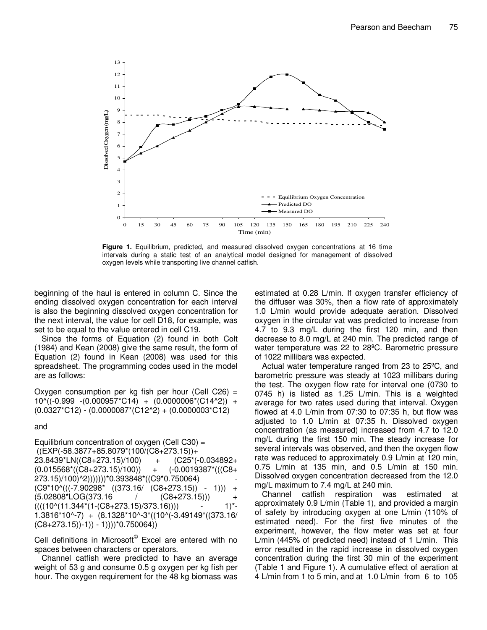

**Figure 1.** Equilibrium, predicted, and measured dissolved oxygen concentrations at 16 time intervals during a static test of an analytical model designed for management of dissolved oxygen levels while transporting live channel catfish.

beginning of the haul is entered in column C. Since the ending dissolved oxygen concentration for each interval is also the beginning dissolved oxygen concentration for the next interval, the value for cell D18, for example, was set to be equal to the value entered in cell C19.

Since the forms of Equation (2) found in both Colt (1984) and Kean (2008) give the same result, the form of Equation (2) found in Kean (2008) was used for this spreadsheet. The programming codes used in the model are as follows:

Oxygen consumption per kg fish per hour (Cell C26) =  $10^{\circ}$ ((-0.999 -(0.000957\*C14) + (0.0000006\*(C14^2)) +  $(0.0327<sup>*</sup>C12) - (0.0000087<sup>*</sup>(C12<sup>2</sup>)+ (0.0000003<sup>*</sup>C12)$ 

#### and

Equilibrium concentration of oxygen (Cell C30) =  $((EXP(-58.3877+85.8079*(100/(C8+273.15)) +$ 23.8439\*LN((C8+273.15)/100) + (C25\*(-0.034892+  $(0.015568*(CO68+273.15)/100)) + (-0.0019387*((CO68+10.0019387))$ 273.15)/100)^2)))))))\*0.393848\*((C9\*0.750064) -  $(C9*10^*((-7.90298* (373.16/ (C8+273.15))-+$  $(5.02808*LOG(373.16$   $/$   $(C8+273.15))$  $((((10)(11.344*(1-(C8+273.15)/373.16))))$  - 1)\*-1.3816\*10^-7) + (8.1328\*10^-3\*((10^(-3.49149\*((373.16/  $(C8+273.15)$  - 1)) - 1)))<sup>\*</sup>0.750064))

Cell definitions in Microsoft<sup>®</sup> Excel are entered with no spaces between characters or operators.

Channel catfish were predicted to have an average weight of 53 g and consume 0.5 g oxygen per kg fish per hour. The oxygen requirement for the 48 kg biomass was

estimated at 0.28 L/min. If oxygen transfer efficiency of the diffuser was 30%, then a flow rate of approximately 1.0 L/min would provide adequate aeration. Dissolved oxygen in the circular vat was predicted to increase from 4.7 to 9.3 mg/L during the first 120 min, and then decrease to 8.0 mg/L at 240 min. The predicted range of water temperature was 22 to 28ºC. Barometric pressure of 1022 millibars was expected.

Actual water temperature ranged from 23 to 25ºC, and barometric pressure was steady at 1023 millibars during the test. The oxygen flow rate for interval one (0730 to 0745 h) is listed as 1.25 L/min. This is a weighted average for two rates used during that interval. Oxygen flowed at 4.0 L/min from 07:30 to 07:35 h, but flow was adjusted to 1.0 L/min at 07:35 h. Dissolved oxygen concentration (as measured) increased from 4.7 to 12.0 mg/L during the first 150 min. The steady increase for several intervals was observed, and then the oxygen flow rate was reduced to approximately 0.9 L/min at 120 min, 0.75 L/min at 135 min, and 0.5 L/min at 150 min. Dissolved oxygen concentration decreased from the 12.0 mg/L maximum to 7.4 mg/L at 240 min.

Channel catfish respiration was estimated at approximately 0.9 L/min (Table 1), and provided a margin of safety by introducing oxygen at one L/min (110% of estimated need). For the first five minutes of the experiment, however, the flow meter was set at four L/min (445% of predicted need) instead of 1 L/min. This error resulted in the rapid increase in dissolved oxygen concentration during the first 30 min of the experiment (Table 1 and Figure 1). A cumulative effect of aeration at 4 L/min from 1 to 5 min, and at 1.0 L/min from 6 to 105